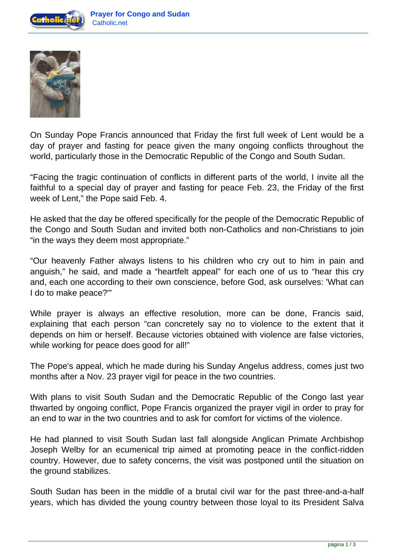



On Sunday Pope Francis announced that Friday the first full week of Lent would be a day of prayer and fasting for peace given the many ongoing conflicts throughout the world, particularly those in the Democratic Republic of the Congo and South Sudan.

"Facing the tragic continuation of conflicts in different parts of the world, I invite all the faithful to a special day of prayer and fasting for peace Feb. 23, the Friday of the first week of Lent," the Pope said Feb. 4.

He asked that the day be offered specifically for the people of the Democratic Republic of the Congo and South Sudan and invited both non-Catholics and non-Christians to join "in the ways they deem most appropriate."

"Our heavenly Father always listens to his children who cry out to him in pain and anguish," he said, and made a "heartfelt appeal" for each one of us to "hear this cry and, each one according to their own conscience, before God, ask ourselves: 'What can I do to make peace?'"

While prayer is always an effective resolution, more can be done, Francis said, explaining that each person "can concretely say no to violence to the extent that it depends on him or herself. Because victories obtained with violence are false victories, while working for peace does good for all!"

The Pope's appeal, which he made during his Sunday Angelus address, comes just two months after a Nov. 23 prayer vigil for peace in the two countries.

With plans to visit South Sudan and the Democratic Republic of the Congo last year thwarted by ongoing conflict, Pope Francis organized the prayer vigil in order to pray for an end to war in the two countries and to ask for comfort for victims of the violence.

He had planned to visit South Sudan last fall alongside Anglican Primate Archbishop Joseph Welby for an ecumenical trip aimed at promoting peace in the conflict-ridden country. However, due to safety concerns, the visit was postponed until the situation on the ground stabilizes.

South Sudan has been in the middle of a brutal civil war for the past three-and-a-half years, which has divided the young country between those loyal to its President Salva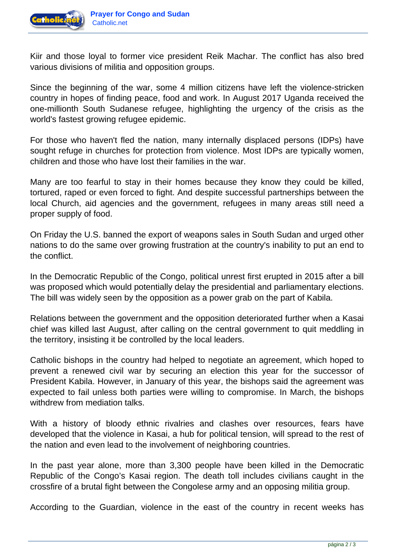

Kiir and those loyal to former vice president Reik Machar. The conflict has also bred various divisions of militia and opposition groups.

Since the beginning of the war, some 4 million citizens have left the violence-stricken country in hopes of finding peace, food and work. In August 2017 Uganda received the one-millionth South Sudanese refugee, highlighting the urgency of the crisis as the world's fastest growing refugee epidemic.

For those who haven't fled the nation, many internally displaced persons (IDPs) have sought refuge in churches for protection from violence. Most IDPs are typically women, children and those who have lost their families in the war.

Many are too fearful to stay in their homes because they know they could be killed, tortured, raped or even forced to fight. And despite successful partnerships between the local Church, aid agencies and the government, refugees in many areas still need a proper supply of food.

On Friday the U.S. banned the export of weapons sales in South Sudan and urged other nations to do the same over growing frustration at the country's inability to put an end to the conflict.

In the Democratic Republic of the Congo, political unrest first erupted in 2015 after a bill was proposed which would potentially delay the presidential and parliamentary elections. The bill was widely seen by the opposition as a power grab on the part of Kabila.

Relations between the government and the opposition deteriorated further when a Kasai chief was killed last August, after calling on the central government to quit meddling in the territory, insisting it be controlled by the local leaders.

Catholic bishops in the country had helped to negotiate an agreement, which hoped to prevent a renewed civil war by securing an election this year for the successor of President Kabila. However, in January of this year, the bishops said the agreement was expected to fail unless both parties were willing to compromise. In March, the bishops withdrew from mediation talks.

With a history of bloody ethnic rivalries and clashes over resources, fears have developed that the violence in Kasai, a hub for political tension, will spread to the rest of the nation and even lead to the involvement of neighboring countries.

In the past year alone, more than 3,300 people have been killed in the Democratic Republic of the Congo's Kasai region. The death toll includes civilians caught in the crossfire of a brutal fight between the Congolese army and an opposing militia group.

According to the Guardian, violence in the east of the country in recent weeks has